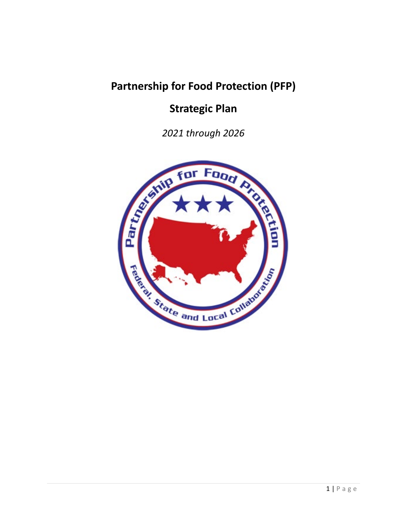# **Partnership for Food Protection (PFP)**

# **Strategic Plan**

*2021 through 2026* 

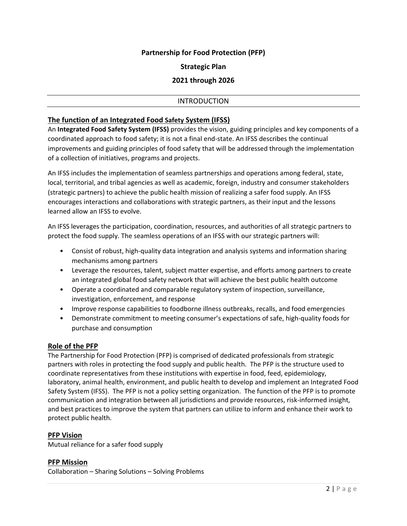## **Partnership for Food Protection (PFP)**

#### **Strategic Plan**

### **2021 through 2026**

#### INTRODUCTION

#### **The function of an Integrated Food Safety System (IFSS)**

An **Integrated Food Safety System (IFSS)** provides the vision, guiding principles and key components of a coordinated approach to food safety; it is not a final end-state. An IFSS describes the continual improvements and guiding principles of food safety that will be addressed through the implementation of a collection of initiatives, programs and projects.

An IFSS includes the implementation of seamless partnerships and operations among federal, state, local, territorial, and tribal agencies as well as academic, foreign, industry and consumer stakeholders (strategic partners) to achieve the public health mission of realizing a safer food supply. An IFSS encourages interactions and collaborations with strategic partners, as their input and the lessons learned allow an IFSS to evolve.

An IFSS leverages the participation, coordination, resources, and authorities of all strategic partners to protect the food supply. The seamless operations of an IFSS with our strategic partners will:

- Consist of robust, high-quality data integration and analysis systems and information sharing mechanisms among partners
- Leverage the resources, talent, subject matter expertise, and efforts among partners to create an integrated global food safety network that will achieve the best public health outcome
- Operate a coordinated and comparable regulatory system of inspection, surveillance, investigation, enforcement, and response
- Improve response capabilities to foodborne illness outbreaks, recalls, and food emergencies
- Demonstrate commitment to meeting consumer's expectations of safe, high-quality foods for purchase and consumption

#### **Role of the PFP**

The Partnership for Food Protection (PFP) is comprised of dedicated professionals from strategic partners with roles in protecting the food supply and public health. The PFP is the structure used to coordinate representatives from these institutions with expertise in food, feed, epidemiology, laboratory, animal health, environment, and public health to develop and implement an Integrated Food Safety System (IFSS). The PFP is not a policy setting organization. The function of the PFP is to promote communication and integration between all jurisdictions and provide resources, risk-informed insight, and best practices to improve the system that partners can utilize to inform and enhance their work to protect public health.

#### **PFP Vision**

Mutual reliance for a safer food supply

#### **PFP Mission**

Collaboration – Sharing Solutions – Solving Problems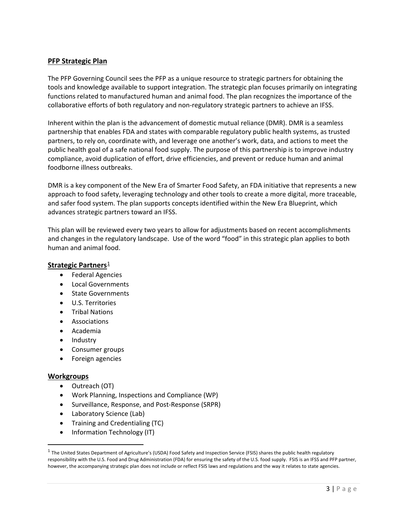## **PFP Strategic Plan**

The PFP Governing Council sees the PFP as a unique resource to strategic partners for obtaining the tools and knowledge available to support integration. The strategic plan focuses primarily on integrating functions related to manufactured human and animal food. The plan recognizes the importance of the collaborative efforts of both regulatory and non-regulatory strategic partners to achieve an IFSS.

Inherent within the plan is the advancement of domestic mutual reliance (DMR). DMR is a seamless partnership that enables FDA and states with comparable regulatory public health systems, as trusted partners, to rely on, coordinate with, and leverage one another's work, data, and actions to meet the public health goal of a safe national food supply. The purpose of this partnership is to improve industry compliance, avoid duplication of effort, drive efficiencies, and prevent or reduce human and animal foodborne illness outbreaks.

DMR is a key component of the New Era of Smarter Food Safety, an FDA initiative that represents a new approach to food safety, leveraging technology and other tools to create a more digital, more traceable, and safer food system. The plan supports concepts identified within the New Era Blueprint, which advances strategic partners toward an IFSS.

This plan will be reviewed every two years to allow for adjustments based on recent accomplishments and changes in the regulatory landscape. Use of the word "food" in this strategic plan applies to both human and animal food.

#### **Strategic Partners**<sup>[1](#page-2-0)</sup>

- Federal Agencies
- Local Governments
- State Governments
- U.S. Territories
- Tribal Nations
- Associations
- Academia
- Industry
- Consumer groups
- Foreign agencies

#### **Workgroups**

 $\overline{\phantom{a}}$ 

- Outreach (OT)
- Work Planning, Inspections and Compliance (WP)
- Surveillance, Response, and Post-Response (SRPR)
- Laboratory Science (Lab)
- Training and Credentialing (TC)
- Information Technology (IT)

<span id="page-2-0"></span> $1$  The United States Department of Agriculture's (USDA) Food Safety and Inspection Service (FSIS) shares the public health regulatory responsibility with the U.S. Food and Drug Administration (FDA) for ensuring the safety of the U.S. food supply. FSIS is an IFSS and PFP partner, however, the accompanying strategic plan does not include or reflect FSIS laws and regulations and the way it relates to state agencies.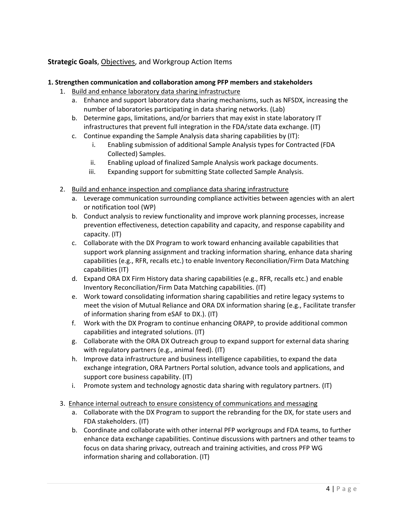## **Strategic Goals**, Objectives, and Workgroup Action Items

#### **1. Strengthen communication and collaboration among PFP members and stakeholders**

- 1. Build and enhance laboratory data sharing infrastructure
	- a. Enhance and support laboratory data sharing mechanisms, such as NFSDX, increasing the number of laboratories participating in data sharing networks. (Lab)
	- b. Determine gaps, limitations, and/or barriers that may exist in state laboratory IT infrastructures that prevent full integration in the FDA/state data exchange. (IT)
	- c. Continue expanding the Sample Analysis data sharing capabilities by (IT):
		- i. Enabling submission of additional Sample Analysis types for Contracted (FDA Collected) Samples.
		- ii. Enabling upload of finalized Sample Analysis work package documents.
		- iii. Expanding support for submitting State collected Sample Analysis.
- 2. Build and enhance inspection and compliance data sharing infrastructure
	- a. Leverage communication surrounding compliance activities between agencies with an alert or notification tool (WP)
	- b. Conduct analysis to review functionality and improve work planning processes, increase prevention effectiveness, detection capability and capacity, and response capability and capacity. (IT)
	- c. Collaborate with the DX Program to work toward enhancing available capabilities that support work planning assignment and tracking information sharing, enhance data sharing capabilities (e.g., RFR, recalls etc.) to enable Inventory Reconciliation/Firm Data Matching capabilities (IT)
	- d. Expand ORA DX Firm History data sharing capabilities (e.g., RFR, recalls etc.) and enable Inventory Reconciliation/Firm Data Matching capabilities. (IT)
	- e. Work toward consolidating information sharing capabilities and retire legacy systems to meet the vision of Mutual Reliance and ORA DX information sharing (e.g., Facilitate transfer of information sharing from eSAF to DX.). (IT)
	- f. Work with the DX Program to continue enhancing ORAPP, to provide additional common capabilities and integrated solutions. (IT)
	- g. Collaborate with the ORA DX Outreach group to expand support for external data sharing with regulatory partners (e.g., animal feed). (IT)
	- h. Improve data infrastructure and business intelligence capabilities, to expand the data exchange integration, ORA Partners Portal solution, advance tools and applications, and support core business capability. (IT)
	- i. Promote system and technology agnostic data sharing with regulatory partners. (IT)
- 3. Enhance internal outreach to ensure consistency of communications and messaging
	- a. Collaborate with the DX Program to support the rebranding for the DX, for state users and FDA stakeholders. (IT)
	- b. Coordinate and collaborate with other internal PFP workgroups and FDA teams, to further enhance data exchange capabilities. Continue discussions with partners and other teams to focus on data sharing privacy, outreach and training activities, and cross PFP WG information sharing and collaboration. (IT)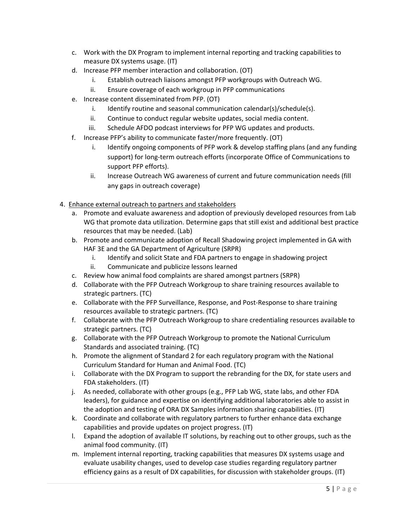- c. Work with the DX Program to implement internal reporting and tracking capabilities to measure DX systems usage. (IT)
- d. Increase PFP member interaction and collaboration. (OT)
	- i. Establish outreach liaisons amongst PFP workgroups with Outreach WG.
	- ii. Ensure coverage of each workgroup in PFP communications
- e. Increase content disseminated from PFP. (OT)
	- i. Identify routine and seasonal communication calendar(s)/schedule(s).
	- ii. Continue to conduct regular website updates, social media content.
	- iii. Schedule AFDO podcast interviews for PFP WG updates and products.
- f. Increase PFP's ability to communicate faster/more frequently. (OT)
	- i. Identify ongoing components of PFP work & develop staffing plans (and any funding support) for long-term outreach efforts (incorporate Office of Communications to support PFP efforts).
	- ii. Increase Outreach WG awareness of current and future communication needs (fill any gaps in outreach coverage)
- 4. Enhance external outreach to partners and stakeholders
	- a. Promote and evaluate awareness and adoption of previously developed resources from Lab WG that promote data utilization. Determine gaps that still exist and additional best practice resources that may be needed. (Lab)
	- b. Promote and communicate adoption of Recall Shadowing project implemented in GA with HAF 3E and the GA Department of Agriculture (SRPR)
		- i. Identify and solicit State and FDA partners to engage in shadowing project
		- ii. Communicate and publicize lessons learned
	- c. Review how animal food complaints are shared amongst partners (SRPR)
	- d. Collaborate with the PFP Outreach Workgroup to share training resources available to strategic partners. (TC)
	- e. Collaborate with the PFP Surveillance, Response, and Post-Response to share training resources available to strategic partners. (TC)
	- f. Collaborate with the PFP Outreach Workgroup to share credentialing resources available to strategic partners. (TC)
	- g. Collaborate with the PFP Outreach Workgroup to promote the National Curriculum Standards and associated training. (TC)
	- h. Promote the alignment of Standard 2 for each regulatory program with the National Curriculum Standard for Human and Animal Food. (TC)
	- i. Collaborate with the DX Program to support the rebranding for the DX, for state users and FDA stakeholders. (IT)
	- j. As needed, collaborate with other groups (e.g., PFP Lab WG, state labs, and other FDA leaders), for guidance and expertise on identifying additional laboratories able to assist in the adoption and testing of ORA DX Samples information sharing capabilities. (IT)
	- k. Coordinate and collaborate with regulatory partners to further enhance data exchange capabilities and provide updates on project progress. (IT)
	- l. Expand the adoption of available IT solutions, by reaching out to other groups, such as the animal food community. (IT)
	- m. Implement internal reporting, tracking capabilities that measures DX systems usage and evaluate usability changes, used to develop case studies regarding regulatory partner efficiency gains as a result of DX capabilities, for discussion with stakeholder groups. (IT)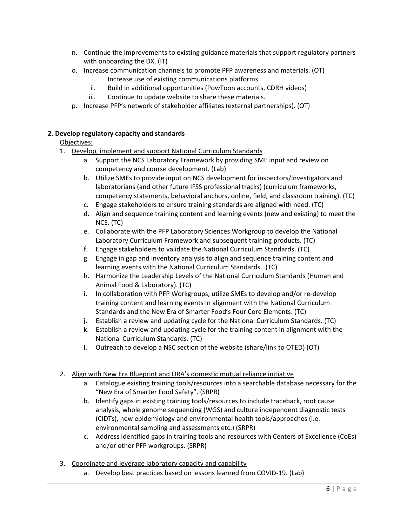- n. Continue the improvements to existing guidance materials that support regulatory partners with onboarding the DX. (IT)
- o. Increase communication channels to promote PFP awareness and materials. (OT)
	- i. Increase use of existing communications platforms
	- ii. Build in additional opportunities (PowToon accounts, CDRH videos)
	- iii. Continue to update website to share these materials.
- p. Increase PFP's network of stakeholder affiliates (external partnerships). (OT)

## **2. Develop regulatory capacity and standards**

## Objectives:

- 1. Develop, implement and support National Curriculum Standards
	- a. Support the NCS Laboratory Framework by providing SME input and review on competency and course development. (Lab)
	- b. Utilize SMEs to provide input on NCS development for inspectors/investigators and laboratorians (and other future IFSS professional tracks) (curriculum frameworks, competency statements, behavioral anchors, online, field, and classroom training). (TC)
	- c. Engage stakeholders to ensure training standards are aligned with need. (TC)
	- d. Align and sequence training content and learning events (new and existing) to meet the NCS. (TC)
	- e. Collaborate with the PFP Laboratory Sciences Workgroup to develop the National Laboratory Curriculum Framework and subsequent training products. (TC)
	- f. Engage stakeholders to validate the National Curriculum Standards. (TC)
	- g. Engage in gap and inventory analysis to align and sequence training content and learning events with the National Curriculum Standards. (TC)
	- h. Harmonize the Leadership Levels of the National Curriculum Standards (Human and Animal Food & Laboratory). (TC)
	- i. In collaboration with PFP Workgroups, utilize SMEs to develop and/or re-develop training content and learning events in alignment with the National Curriculum Standards and the New Era of Smarter Food's Four Core Elements. (TC)
	- j. Establish a review and updating cycle for the National Curriculum Standards. (TC)
	- k. Establish a review and updating cycle for the training content in alignment with the National Curriculum Standards. (TC)
	- l. Outreach to develop a NSC section of the website (share/link to OTED) (OT)

## 2. Align with New Era Blueprint and ORA's domestic mutual reliance initiative

- a. Catalogue existing training tools/resources into a searchable database necessary for the "New Era of Smarter Food Safety". (SRPR)
- b. Identify gaps in existing training tools/resources to include traceback, root cause analysis, whole genome sequencing (WGS) and culture independent diagnostic tests (CIDTs), new epidemiology and environmental health tools/approaches (i.e. environmental sampling and assessments etc.) (SRPR)
- c. Address identified gaps in training tools and resources with Centers of Excellence (CoEs) and/or other PFP workgroups. (SRPR)
- 3. Coordinate and leverage laboratory capacity and capability
	- a. Develop best practices based on lessons learned from COVID-19. (Lab)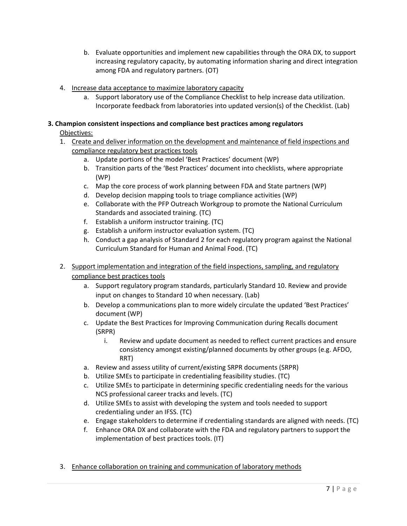- b. Evaluate opportunities and implement new capabilities through the ORA DX, to support increasing regulatory capacity, by automating information sharing and direct integration among FDA and regulatory partners. (OT)
- 4. Increase data acceptance to maximize laboratory capacity
	- a. Support laboratory use of the Compliance Checklist to help increase data utilization. Incorporate feedback from laboratories into updated version(s) of the Checklist. (Lab)

## **3. Champion consistent inspections and compliance best practices among regulators**

## Objectives:

- 1. Create and deliver information on the development and maintenance of field inspections and compliance regulatory best practices tools
	- a. Update portions of the model 'Best Practices' document (WP)
	- b. Transition parts of the 'Best Practices' document into checklists, where appropriate (WP)
	- c. Map the core process of work planning between FDA and State partners (WP)
	- d. Develop decision mapping tools to triage compliance activities (WP)
	- e. Collaborate with the PFP Outreach Workgroup to promote the National Curriculum Standards and associated training. (TC)
	- f. Establish a uniform instructor training. (TC)
	- g. Establish a uniform instructor evaluation system. (TC)
	- h. Conduct a gap analysis of Standard 2 for each regulatory program against the National Curriculum Standard for Human and Animal Food. (TC)
- 2. Support implementation and integration of the field inspections, sampling, and regulatory compliance best practices tools
	- a. Support regulatory program standards, particularly Standard 10. Review and provide input on changes to Standard 10 when necessary. (Lab)
	- b. Develop a communications plan to more widely circulate the updated 'Best Practices' document (WP)
	- c. Update the Best Practices for Improving Communication during Recalls document (SRPR)
		- i. Review and update document as needed to reflect current practices and ensure consistency amongst existing/planned documents by other groups (e.g. AFDO, RRT)
	- a. Review and assess utility of current/existing SRPR documents (SRPR)
	- b. Utilize SMEs to participate in credentialing feasibility studies. (TC)
	- c. Utilize SMEs to participate in determining specific credentialing needs for the various NCS professional career tracks and levels. (TC)
	- d. Utilize SMEs to assist with developing the system and tools needed to support credentialing under an IFSS. (TC)
	- e. Engage stakeholders to determine if credentialing standards are aligned with needs. (TC)
	- f. Enhance ORA DX and collaborate with the FDA and regulatory partners to support the implementation of best practices tools. (IT)
- 3. Enhance collaboration on training and communication of laboratory methods